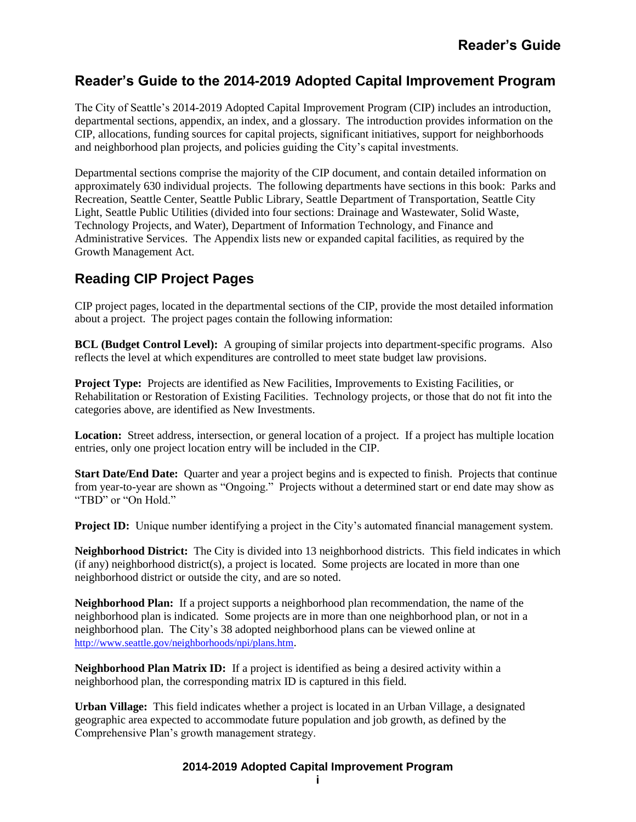# **Reader's Guide to the 2014-2019 Adopted Capital Improvement Program**

The City of Seattle's 2014-2019 Adopted Capital Improvement Program (CIP) includes an introduction, departmental sections, appendix, an index, and a glossary. The introduction provides information on the CIP, allocations, funding sources for capital projects, significant initiatives, support for neighborhoods and neighborhood plan projects, and policies guiding the City's capital investments.

Departmental sections comprise the majority of the CIP document, and contain detailed information on approximately 630 individual projects. The following departments have sections in this book: Parks and Recreation, Seattle Center, Seattle Public Library, Seattle Department of Transportation, Seattle City Light, Seattle Public Utilities (divided into four sections: Drainage and Wastewater, Solid Waste, Technology Projects, and Water), Department of Information Technology, and Finance and Administrative Services. The Appendix lists new or expanded capital facilities, as required by the Growth Management Act.

# **Reading CIP Project Pages**

CIP project pages, located in the departmental sections of the CIP, provide the most detailed information about a project. The project pages contain the following information:

**BCL (Budget Control Level):** A grouping of similar projects into department-specific programs. Also reflects the level at which expenditures are controlled to meet state budget law provisions.

**Project Type:** Projects are identified as New Facilities, Improvements to Existing Facilities, or Rehabilitation or Restoration of Existing Facilities. Technology projects, or those that do not fit into the categories above, are identified as New Investments.

**Location:** Street address, intersection, or general location of a project. If a project has multiple location entries, only one project location entry will be included in the CIP.

**Start Date/End Date:** Quarter and year a project begins and is expected to finish. Projects that continue from year-to-year are shown as "Ongoing." Projects without a determined start or end date may show as "TBD" or "On Hold."

**Project ID:** Unique number identifying a project in the City's automated financial management system.

**Neighborhood District:** The City is divided into 13 neighborhood districts. This field indicates in which (if any) neighborhood district(s), a project is located. Some projects are located in more than one neighborhood district or outside the city, and are so noted.

**Neighborhood Plan:** If a project supports a neighborhood plan recommendation, the name of the neighborhood plan is indicated. Some projects are in more than one neighborhood plan, or not in a neighborhood plan. The City's 38 adopted neighborhood plans can be viewed online at <http://www.seattle.gov/neighborhoods/npi/plans.htm>.

**Neighborhood Plan Matrix ID:** If a project is identified as being a desired activity within a neighborhood plan, the corresponding matrix ID is captured in this field.

**Urban Village:** This field indicates whether a project is located in an Urban Village, a designated geographic area expected to accommodate future population and job growth, as defined by the Comprehensive Plan's growth management strategy.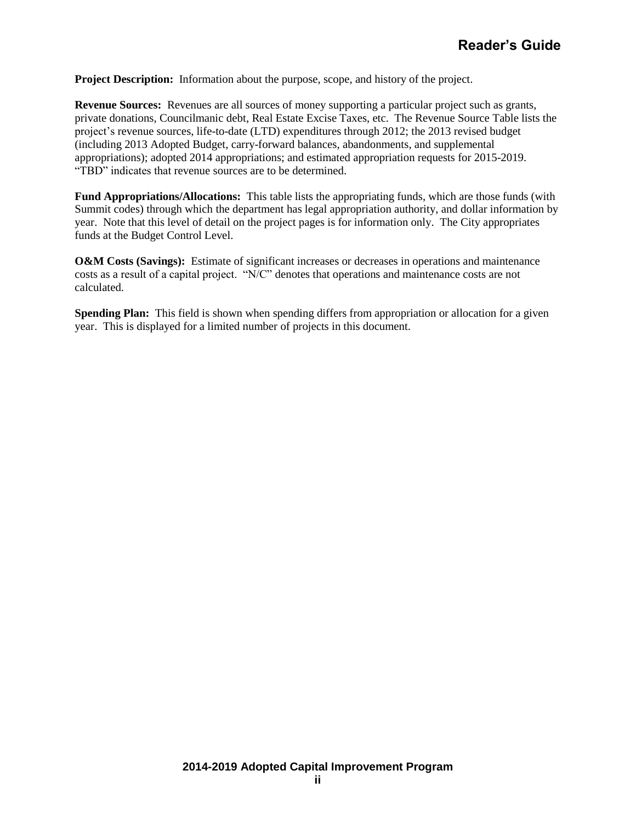**Project Description:** Information about the purpose, scope, and history of the project.

**Revenue Sources:** Revenues are all sources of money supporting a particular project such as grants, private donations, Councilmanic debt, Real Estate Excise Taxes, etc. The Revenue Source Table lists the project's revenue sources, life-to-date (LTD) expenditures through 2012; the 2013 revised budget (including 2013 Adopted Budget, carry-forward balances, abandonments, and supplemental appropriations); adopted 2014 appropriations; and estimated appropriation requests for 2015-2019. "TBD" indicates that revenue sources are to be determined.

**Fund Appropriations/Allocations:** This table lists the appropriating funds, which are those funds (with Summit codes) through which the department has legal appropriation authority, and dollar information by year. Note that this level of detail on the project pages is for information only. The City appropriates funds at the Budget Control Level.

**O&M Costs (Savings):** Estimate of significant increases or decreases in operations and maintenance costs as a result of a capital project. "N/C" denotes that operations and maintenance costs are not calculated.

**Spending Plan:** This field is shown when spending differs from appropriation or allocation for a given year. This is displayed for a limited number of projects in this document.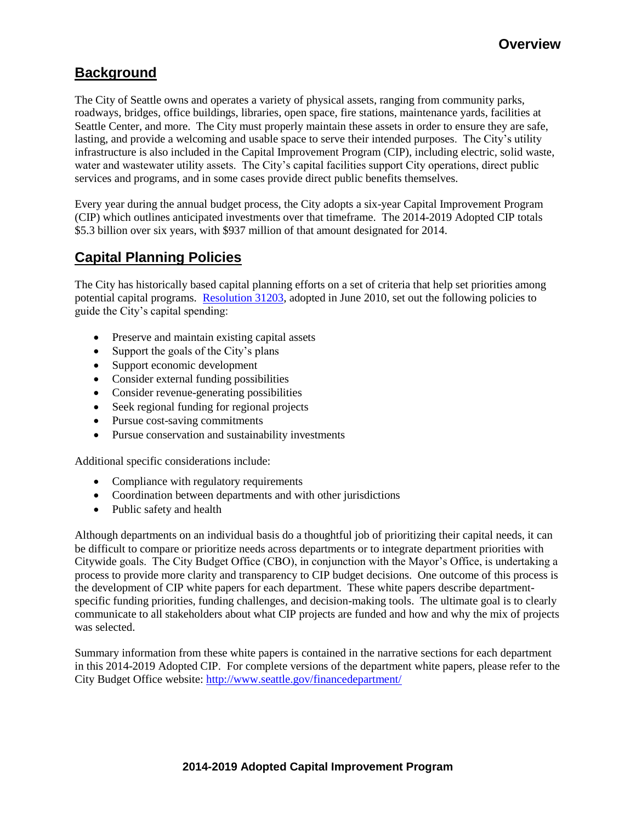# **Background**

The City of Seattle owns and operates a variety of physical assets, ranging from community parks, roadways, bridges, office buildings, libraries, open space, fire stations, maintenance yards, facilities at Seattle Center, and more. The City must properly maintain these assets in order to ensure they are safe, lasting, and provide a welcoming and usable space to serve their intended purposes. The City's utility infrastructure is also included in the Capital Improvement Program (CIP), including electric, solid waste, water and wastewater utility assets. The City's capital facilities support City operations, direct public services and programs, and in some cases provide direct public benefits themselves.

Every year during the annual budget process, the City adopts a six-year Capital Improvement Program (CIP) which outlines anticipated investments over that timeframe. The 2014-2019 Adopted CIP totals \$5.3 billion over six years, with \$937 million of that amount designated for 2014.

# **Capital Planning Policies**

The City has historically based capital planning efforts on a set of criteria that help set priorities among potential capital programs. [Resolution 31203,](http://clerk.ci.seattle.wa.us/~archives/Resolutions/Resn_31203.pdf) adopted in June 2010, set out the following policies to guide the City's capital spending:

- Preserve and maintain existing capital assets
- Support the goals of the City's plans
- Support economic development
- Consider external funding possibilities
- Consider revenue-generating possibilities
- Seek regional funding for regional projects
- Pursue cost-saving commitments
- Pursue conservation and sustainability investments

Additional specific considerations include:

- Compliance with regulatory requirements
- Coordination between departments and with other jurisdictions
- Public safety and health

Although departments on an individual basis do a thoughtful job of prioritizing their capital needs, it can be difficult to compare or prioritize needs across departments or to integrate department priorities with Citywide goals. The City Budget Office (CBO), in conjunction with the Mayor's Office, is undertaking a process to provide more clarity and transparency to CIP budget decisions. One outcome of this process is the development of CIP white papers for each department. These white papers describe departmentspecific funding priorities, funding challenges, and decision-making tools. The ultimate goal is to clearly communicate to all stakeholders about what CIP projects are funded and how and why the mix of projects was selected.

Summary information from these white papers is contained in the narrative sections for each department in this 2014-2019 Adopted CIP. For complete versions of the department white papers, please refer to the City Budget Office website: <http://www.seattle.gov/financedepartment/>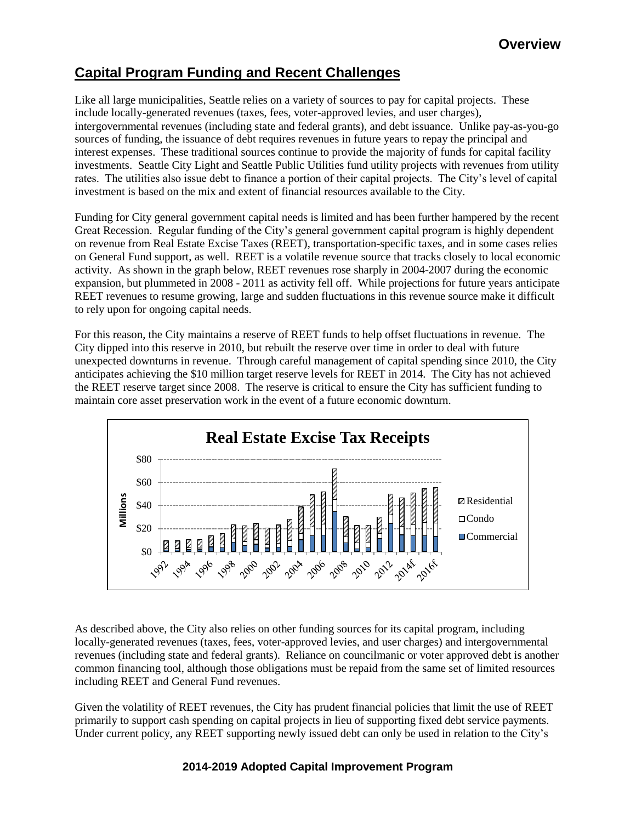# **Capital Program Funding and Recent Challenges**

Like all large municipalities, Seattle relies on a variety of sources to pay for capital projects. These include locally-generated revenues (taxes, fees, voter-approved levies, and user charges), intergovernmental revenues (including state and federal grants), and debt issuance. Unlike pay-as-you-go sources of funding, the issuance of debt requires revenues in future years to repay the principal and interest expenses. These traditional sources continue to provide the majority of funds for capital facility investments. Seattle City Light and Seattle Public Utilities fund utility projects with revenues from utility rates. The utilities also issue debt to finance a portion of their capital projects. The City's level of capital investment is based on the mix and extent of financial resources available to the City.

Funding for City general government capital needs is limited and has been further hampered by the recent Great Recession. Regular funding of the City's general government capital program is highly dependent on revenue from Real Estate Excise Taxes (REET), transportation-specific taxes, and in some cases relies on General Fund support, as well. REET is a volatile revenue source that tracks closely to local economic activity. As shown in the graph below, REET revenues rose sharply in 2004-2007 during the economic expansion, but plummeted in 2008 - 2011 as activity fell off. While projections for future years anticipate REET revenues to resume growing, large and sudden fluctuations in this revenue source make it difficult to rely upon for ongoing capital needs.

For this reason, the City maintains a reserve of REET funds to help offset fluctuations in revenue. The City dipped into this reserve in 2010, but rebuilt the reserve over time in order to deal with future unexpected downturns in revenue. Through careful management of capital spending since 2010, the City anticipates achieving the \$10 million target reserve levels for REET in 2014. The City has not achieved the REET reserve target since 2008. The reserve is critical to ensure the City has sufficient funding to maintain core asset preservation work in the event of a future economic downturn.



As described above, the City also relies on other funding sources for its capital program, including locally-generated revenues (taxes, fees, voter-approved levies, and user charges) and intergovernmental revenues (including state and federal grants). Reliance on councilmanic or voter approved debt is another common financing tool, although those obligations must be repaid from the same set of limited resources including REET and General Fund revenues.

Given the volatility of REET revenues, the City has prudent financial policies that limit the use of REET primarily to support cash spending on capital projects in lieu of supporting fixed debt service payments. Under current policy, any REET supporting newly issued debt can only be used in relation to the City's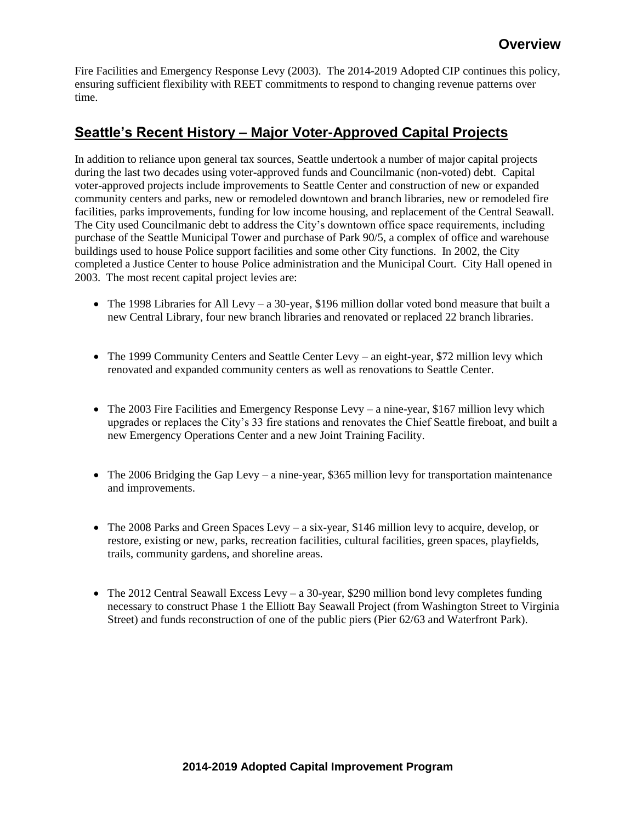Fire Facilities and Emergency Response Levy (2003). The 2014-2019 Adopted CIP continues this policy, ensuring sufficient flexibility with REET commitments to respond to changing revenue patterns over time.

# **Seattle's Recent History – Major Voter-Approved Capital Projects**

In addition to reliance upon general tax sources, Seattle undertook a number of major capital projects during the last two decades using voter-approved funds and Councilmanic (non-voted) debt. Capital voter-approved projects include improvements to Seattle Center and construction of new or expanded community centers and parks, new or remodeled downtown and branch libraries, new or remodeled fire facilities, parks improvements, funding for low income housing, and replacement of the Central Seawall. The City used Councilmanic debt to address the City's downtown office space requirements, including purchase of the Seattle Municipal Tower and purchase of Park 90/5, a complex of office and warehouse buildings used to house Police support facilities and some other City functions. In 2002, the City completed a Justice Center to house Police administration and the Municipal Court. City Hall opened in 2003. The most recent capital project levies are:

- The 1998 Libraries for All Levy a 30-year, \$196 million dollar voted bond measure that built a new Central Library, four new branch libraries and renovated or replaced 22 branch libraries.
- The 1999 Community Centers and Seattle Center Levy an eight-year, \$72 million levy which renovated and expanded community centers as well as renovations to Seattle Center.
- The 2003 Fire Facilities and Emergency Response Levy a nine-year, \$167 million levy which upgrades or replaces the City's 33 fire stations and renovates the Chief Seattle fireboat, and built a new Emergency Operations Center and a new Joint Training Facility.
- $\bullet$  The 2006 Bridging the Gap Levy a nine-year, \$365 million levy for transportation maintenance and improvements.
- The 2008 Parks and Green Spaces Levy a six-year, \$146 million levy to acquire, develop, or restore, existing or new, parks, recreation facilities, cultural facilities, green spaces, playfields, trails, community gardens, and shoreline areas.
- The 2012 Central Seawall Excess Levy a 30-year, \$290 million bond levy completes funding necessary to construct Phase 1 the Elliott Bay Seawall Project (from Washington Street to Virginia Street) and funds reconstruction of one of the public piers (Pier 62/63 and Waterfront Park).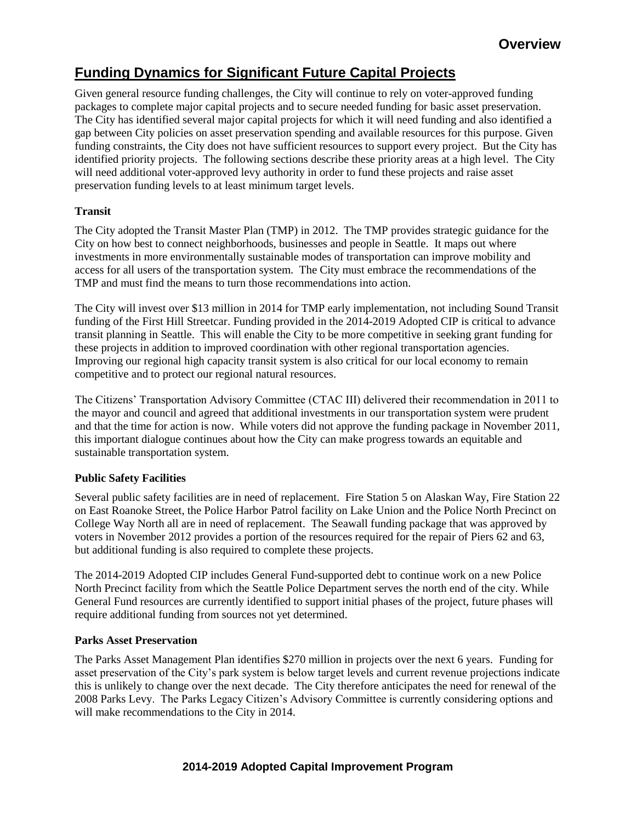# **Funding Dynamics for Significant Future Capital Projects**

Given general resource funding challenges, the City will continue to rely on voter-approved funding packages to complete major capital projects and to secure needed funding for basic asset preservation. The City has identified several major capital projects for which it will need funding and also identified a gap between City policies on asset preservation spending and available resources for this purpose. Given funding constraints, the City does not have sufficient resources to support every project. But the City has identified priority projects. The following sections describe these priority areas at a high level. The City will need additional voter-approved levy authority in order to fund these projects and raise asset preservation funding levels to at least minimum target levels.

# **Transit**

The City adopted the Transit Master Plan (TMP) in 2012. The TMP provides strategic guidance for the City on how best to connect neighborhoods, businesses and people in Seattle. It maps out where investments in more environmentally sustainable modes of transportation can improve mobility and access for all users of the transportation system. The City must embrace the recommendations of the TMP and must find the means to turn those recommendations into action.

The City will invest over \$13 million in 2014 for TMP early implementation, not including Sound Transit funding of the First Hill Streetcar. Funding provided in the 2014-2019 Adopted CIP is critical to advance transit planning in Seattle. This will enable the City to be more competitive in seeking grant funding for these projects in addition to improved coordination with other regional transportation agencies. Improving our regional high capacity transit system is also critical for our local economy to remain competitive and to protect our regional natural resources.

The Citizens' Transportation Advisory Committee (CTAC III) delivered their recommendation in 2011 to the mayor and council and agreed that additional investments in our transportation system were prudent and that the time for action is now. While voters did not approve the funding package in November 2011, this important dialogue continues about how the City can make progress towards an equitable and sustainable transportation system.

## **Public Safety Facilities**

Several public safety facilities are in need of replacement. Fire Station 5 on Alaskan Way, Fire Station 22 on East Roanoke Street, the Police Harbor Patrol facility on Lake Union and the Police North Precinct on College Way North all are in need of replacement. The Seawall funding package that was approved by voters in November 2012 provides a portion of the resources required for the repair of Piers 62 and 63, but additional funding is also required to complete these projects.

The 2014-2019 Adopted CIP includes General Fund-supported debt to continue work on a new Police North Precinct facility from which the Seattle Police Department serves the north end of the city. While General Fund resources are currently identified to support initial phases of the project, future phases will require additional funding from sources not yet determined.

## **Parks Asset Preservation**

The Parks Asset Management Plan identifies \$270 million in projects over the next 6 years. Funding for asset preservation of the City's park system is below target levels and current revenue projections indicate this is unlikely to change over the next decade. The City therefore anticipates the need for renewal of the 2008 Parks Levy. The Parks Legacy Citizen's Advisory Committee is currently considering options and will make recommendations to the City in 2014.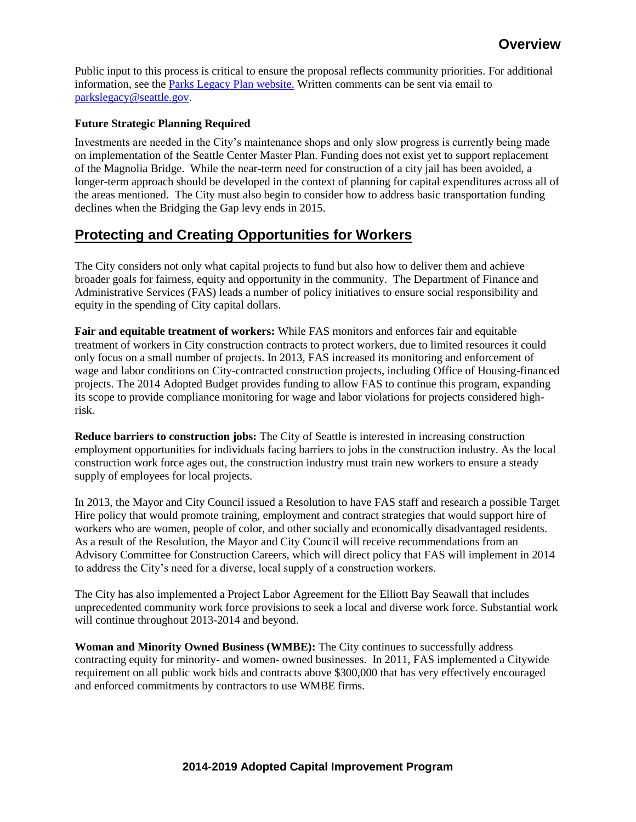Public input to this process is critical to ensure the proposal reflects community priorities. For additional information, see the [Parks Legacy Plan website.](http://www.seattle.gov/parks/legacy/) Written comments can be sent via email to [parkslegacy@seattle.gov.](mailto:parkslegacy@seattle.gov)

### **Future Strategic Planning Required**

Investments are needed in the City's maintenance shops and only slow progress is currently being made on implementation of the Seattle Center Master Plan. Funding does not exist yet to support replacement of the Magnolia Bridge. While the near-term need for construction of a city jail has been avoided, a longer-term approach should be developed in the context of planning for capital expenditures across all of the areas mentioned. The City must also begin to consider how to address basic transportation funding declines when the Bridging the Gap levy ends in 2015.

# **Protecting and Creating Opportunities for Workers**

The City considers not only what capital projects to fund but also how to deliver them and achieve broader goals for fairness, equity and opportunity in the community. The Department of Finance and Administrative Services (FAS) leads a number of policy initiatives to ensure social responsibility and equity in the spending of City capital dollars.

**Fair and equitable treatment of workers:** While FAS monitors and enforces fair and equitable treatment of workers in City construction contracts to protect workers, due to limited resources it could only focus on a small number of projects. In 2013, FAS increased its monitoring and enforcement of wage and labor conditions on City-contracted construction projects, including Office of Housing-financed projects. The 2014 Adopted Budget provides funding to allow FAS to continue this program, expanding its scope to provide compliance monitoring for wage and labor violations for projects considered highrisk.

**Reduce barriers to construction jobs:** The City of Seattle is interested in increasing construction employment opportunities for individuals facing barriers to jobs in the construction industry. As the local construction work force ages out, the construction industry must train new workers to ensure a steady supply of employees for local projects.

In 2013, the Mayor and City Council issued a Resolution to have FAS staff and research a possible Target Hire policy that would promote training, employment and contract strategies that would support hire of workers who are women, people of color, and other socially and economically disadvantaged residents. As a result of the Resolution, the Mayor and City Council will receive recommendations from an Advisory Committee for Construction Careers, which will direct policy that FAS will implement in 2014 to address the City's need for a diverse, local supply of a construction workers.

The City has also implemented a Project Labor Agreement for the Elliott Bay Seawall that includes unprecedented community work force provisions to seek a local and diverse work force. Substantial work will continue throughout 2013-2014 and beyond.

**Woman and Minority Owned Business (WMBE):** The City continues to successfully address contracting equity for minority- and women- owned businesses. In 2011, FAS implemented a Citywide requirement on all public work bids and contracts above \$300,000 that has very effectively encouraged and enforced commitments by contractors to use WMBE firms.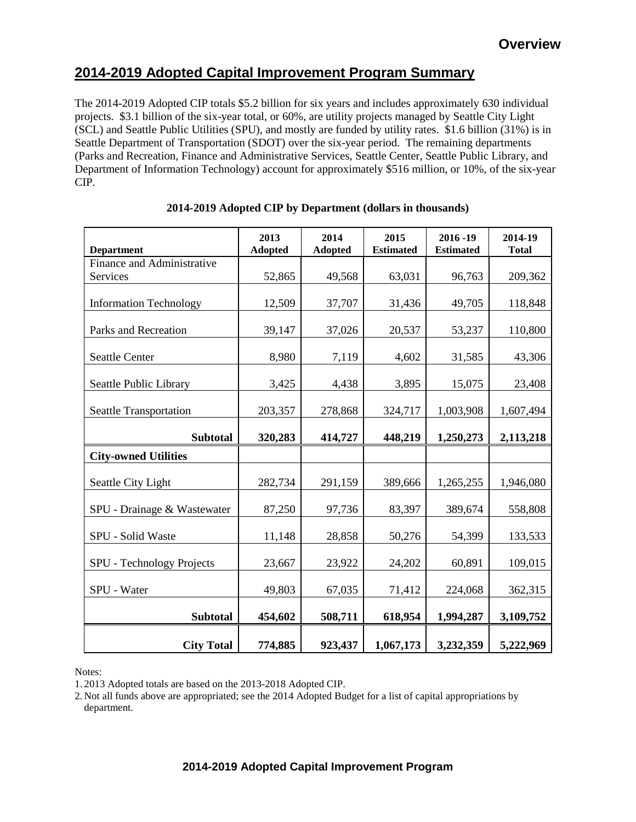# **2014-2019 Adopted Capital Improvement Program Summary**

The 2014-2019 Adopted CIP totals \$5.2 billion for six years and includes approximately 630 individual projects. \$3.1 billion of the six-year total, or 60%, are utility projects managed by Seattle City Light (SCL) and Seattle Public Utilities (SPU), and mostly are funded by utility rates. \$1.6 billion (31%) is in Seattle Department of Transportation (SDOT) over the six-year period. The remaining departments (Parks and Recreation, Finance and Administrative Services, Seattle Center, Seattle Public Library, and Department of Information Technology) account for approximately \$516 million, or 10%, of the six-year CIP.

|                               | 2013           | 2014           | 2015             | 2016-19          | 2014-19      |
|-------------------------------|----------------|----------------|------------------|------------------|--------------|
| <b>Department</b>             | <b>Adopted</b> | <b>Adopted</b> | <b>Estimated</b> | <b>Estimated</b> | <b>Total</b> |
| Finance and Administrative    |                |                |                  |                  |              |
| Services                      | 52,865         | 49,568         | 63,031           | 96,763           | 209,362      |
| <b>Information Technology</b> | 12,509         | 37,707         | 31,436           | 49,705           | 118,848      |
| Parks and Recreation          | 39,147         | 37,026         | 20,537           | 53,237           | 110,800      |
| <b>Seattle Center</b>         | 8,980          | 7,119          | 4,602            | 31,585           | 43,306       |
| Seattle Public Library        | 3,425          | 4,438          | 3,895            | 15,075           | 23,408       |
| <b>Seattle Transportation</b> | 203,357        | 278,868        | 324,717          | 1,003,908        | 1,607,494    |
| <b>Subtotal</b>               | 320,283        | 414,727        | 448,219          | 1,250,273        | 2,113,218    |
| <b>City-owned Utilities</b>   |                |                |                  |                  |              |
| Seattle City Light            | 282,734        | 291,159        | 389,666          | 1,265,255        | 1,946,080    |
| SPU - Drainage & Wastewater   | 87,250         | 97,736         | 83,397           | 389,674          | 558,808      |
| SPU - Solid Waste             | 11,148         | 28,858         | 50,276           | 54,399           | 133,533      |
| SPU - Technology Projects     | 23,667         | 23,922         | 24,202           | 60,891           | 109,015      |
| SPU - Water                   | 49,803         | 67,035         | 71,412           | 224,068          | 362,315      |
| <b>Subtotal</b>               | 454,602        | 508,711        | 618,954          | 1,994,287        | 3,109,752    |
| <b>City Total</b>             | 774,885        | 923,437        | 1,067,173        | 3,232,359        | 5,222,969    |

## **2014-2019 Adopted CIP by Department (dollars in thousands)**

Notes:

1. 2013 Adopted totals are based on the 2013-2018 Adopted CIP.

2. Not all funds above are appropriated; see the 2014 Adopted Budget for a list of capital appropriations by department.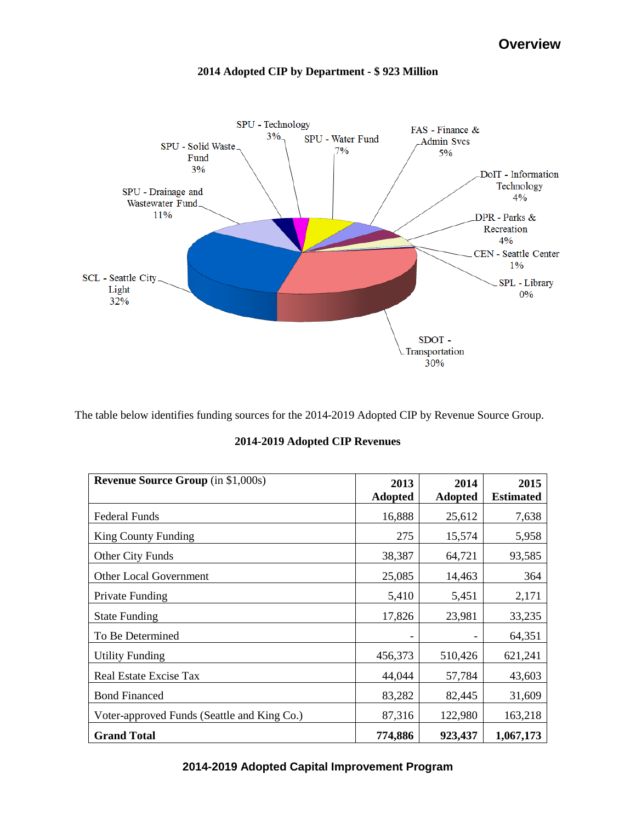

# **2014 Adopted CIP by Department - \$ 923 Million**

The table below identifies funding sources for the 2014-2019 Adopted CIP by Revenue Source Group.

| 2014-2019 Adopted CIP Revenues |  |  |
|--------------------------------|--|--|
|--------------------------------|--|--|

| <b>Revenue Source Group</b> (in \$1,000s)   | 2013<br><b>Adopted</b> | 2014<br><b>Adopted</b> | 2015<br><b>Estimated</b> |
|---------------------------------------------|------------------------|------------------------|--------------------------|
| <b>Federal Funds</b>                        | 16,888                 | 25,612                 | 7,638                    |
| <b>King County Funding</b>                  | 275                    | 15,574                 | 5,958                    |
| Other City Funds                            | 38,387                 | 64,721                 | 93,585                   |
| <b>Other Local Government</b>               | 25,085                 | 14,463                 | 364                      |
| Private Funding                             | 5,410                  | 5,451                  | 2,171                    |
| <b>State Funding</b>                        | 17,826                 | 23,981                 | 33,235                   |
| To Be Determined                            |                        |                        | 64,351                   |
| <b>Utility Funding</b>                      | 456,373                | 510,426                | 621,241                  |
| Real Estate Excise Tax                      | 44,044                 | 57,784                 | 43,603                   |
| <b>Bond Financed</b>                        | 83,282                 | 82,445                 | 31,609                   |
| Voter-approved Funds (Seattle and King Co.) | 87,316                 | 122,980                | 163,218                  |
| <b>Grand Total</b>                          | 774,886                | 923,437                | 1,067,173                |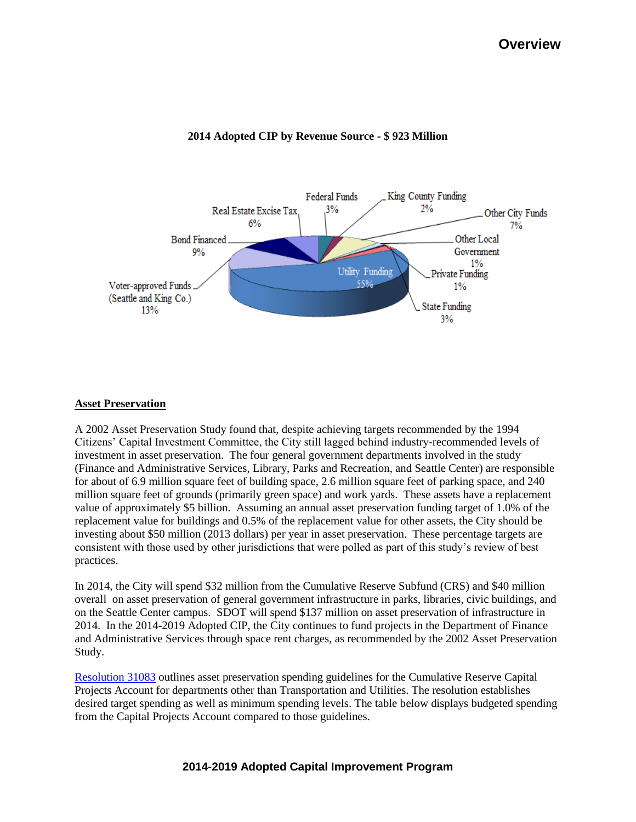

### **2014 Adopted CIP by Revenue Source - \$ 923 Million**

#### **Asset Preservation**

A 2002 Asset Preservation Study found that, despite achieving targets recommended by the 1994 Citizens' Capital Investment Committee, the City still lagged behind industry-recommended levels of investment in asset preservation. The four general government departments involved in the study (Finance and Administrative Services, Library, Parks and Recreation, and Seattle Center) are responsible for about of 6.9 million square feet of building space, 2.6 million square feet of parking space, and 240 million square feet of grounds (primarily green space) and work yards. These assets have a replacement value of approximately \$5 billion. Assuming an annual asset preservation funding target of 1.0% of the replacement value for buildings and 0.5% of the replacement value for other assets, the City should be investing about \$50 million (2013 dollars) per year in asset preservation. These percentage targets are consistent with those used by other jurisdictions that were polled as part of this study's review of best practices.

In 2014, the City will spend \$32 million from the Cumulative Reserve Subfund (CRS) and \$40 million overall on asset preservation of general government infrastructure in parks, libraries, civic buildings, and on the Seattle Center campus. SDOT will spend \$137 million on asset preservation of infrastructure in 2014. In the 2014-2019 Adopted CIP, the City continues to fund projects in the Department of Finance and Administrative Services through space rent charges, as recommended by the 2002 Asset Preservation Study.

[Resolution 31083](http://clerk.ci.seattle.wa.us/~archives/Resolutions/Resn_31083.pdf) outlines asset preservation spending guidelines for the Cumulative Reserve Capital Projects Account for departments other than Transportation and Utilities. The resolution establishes desired target spending as well as minimum spending levels. The table below displays budgeted spending from the Capital Projects Account compared to those guidelines.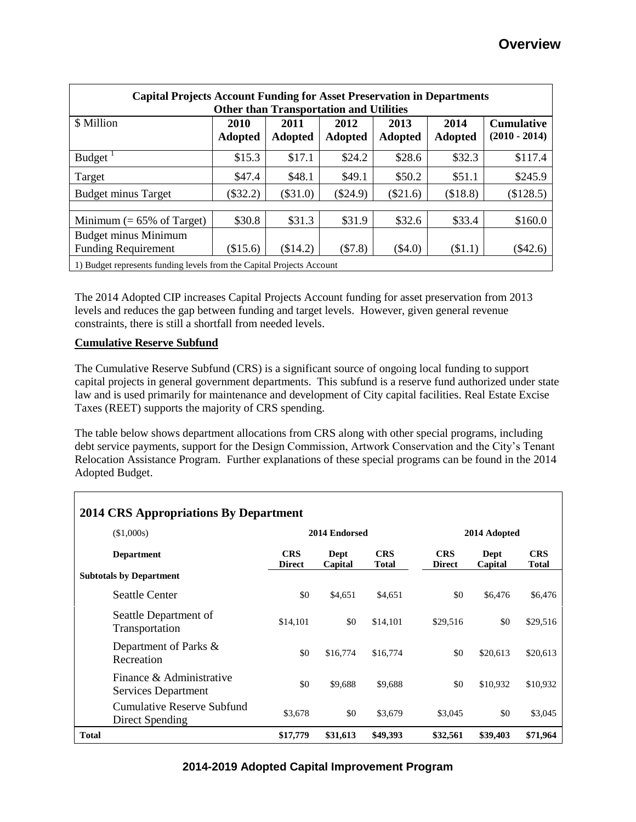| <b>Capital Projects Account Funding for Asset Preservation in Departments</b><br><b>Other than Transportation and Utilities</b> |                        |                        |                 |                        |                        |                                      |
|---------------------------------------------------------------------------------------------------------------------------------|------------------------|------------------------|-----------------|------------------------|------------------------|--------------------------------------|
| \$ Million                                                                                                                      | 2010<br><b>Adopted</b> | 2011<br><b>Adopted</b> | 2012<br>Adopted | 2013<br><b>Adopted</b> | 2014<br><b>Adopted</b> | <b>Cumulative</b><br>$(2010 - 2014)$ |
| Budget $^1$                                                                                                                     | \$15.3                 | \$17.1                 | \$24.2          | \$28.6                 | \$32.3                 | \$117.4                              |
| Target                                                                                                                          | \$47.4                 | \$48.1                 | \$49.1          | \$50.2                 | \$51.1                 | \$245.9                              |
| <b>Budget minus Target</b>                                                                                                      | $(\$32.2)$             | $(\$31.0)$             | $(\$24.9)$      | $(\$21.6)$             | (\$18.8)               | (\$128.5)                            |
|                                                                                                                                 |                        |                        |                 |                        |                        |                                      |
| Minimum $(= 65\% \text{ of Target})$                                                                                            | \$30.8                 | \$31.3                 | \$31.9          | \$32.6                 | \$33.4                 | \$160.0                              |
| <b>Budget minus Minimum</b>                                                                                                     |                        |                        |                 |                        |                        |                                      |
| <b>Funding Requirement</b>                                                                                                      | (\$15.6)               | (\$14.2)               | (\$7.8)         | $(\$4.0)$              | $(\$1.1)$              | (\$42.6)                             |
| 1) Budget represents funding levels from the Capital Projects Account                                                           |                        |                        |                 |                        |                        |                                      |

The 2014 Adopted CIP increases Capital Projects Account funding for asset preservation from 2013 levels and reduces the gap between funding and target levels. However, given general revenue constraints, there is still a shortfall from needed levels.

### **Cumulative Reserve Subfund**

The Cumulative Reserve Subfund (CRS) is a significant source of ongoing local funding to support capital projects in general government departments. This subfund is a reserve fund authorized under state law and is used primarily for maintenance and development of City capital facilities. Real Estate Excise Taxes (REET) supports the majority of CRS spending.

The table below shows department allocations from CRS along with other special programs, including debt service payments, support for the Design Commission, Artwork Conservation and the City's Tenant Relocation Assistance Program. Further explanations of these special programs can be found in the 2014 Adopted Budget.

| <b>2014 CRS Appropriations By Department</b> |                                                 |                             |                 |                            |                             |                 |                            |  |
|----------------------------------------------|-------------------------------------------------|-----------------------------|-----------------|----------------------------|-----------------------------|-----------------|----------------------------|--|
|                                              | (\$1,000s)                                      |                             | 2014 Endorsed   |                            |                             | 2014 Adopted    |                            |  |
|                                              | <b>Department</b>                               | <b>CRS</b><br><b>Direct</b> | Dept<br>Capital | <b>CRS</b><br><b>Total</b> | <b>CRS</b><br><b>Direct</b> | Dept<br>Capital | <b>CRS</b><br><b>Total</b> |  |
| <b>Subtotals by Department</b>               |                                                 |                             |                 |                            |                             |                 |                            |  |
|                                              | <b>Seattle Center</b>                           | \$0                         | \$4,651         | \$4,651                    | \$0                         | \$6,476         | \$6,476                    |  |
|                                              | Seattle Department of<br>Transportation         | \$14,101                    | \$0             | \$14,101                   | \$29,516                    | \$0             | \$29,516                   |  |
|                                              | Department of Parks &<br>Recreation             | \$0                         | \$16,774        | \$16,774                   | \$0                         | \$20,613        | \$20,613                   |  |
|                                              | Finance & Administrative<br>Services Department | \$0                         | \$9,688         | \$9,688                    | \$0                         | \$10,932        | \$10,932                   |  |
|                                              | Cumulative Reserve Subfund<br>Direct Spending   | \$3,678                     | \$0             | \$3,679                    | \$3,045                     | \$0             | \$3,045                    |  |
| <b>Total</b>                                 |                                                 | \$17,779                    | \$31,613        | \$49,393                   | \$32,561                    | \$39,403        | \$71,964                   |  |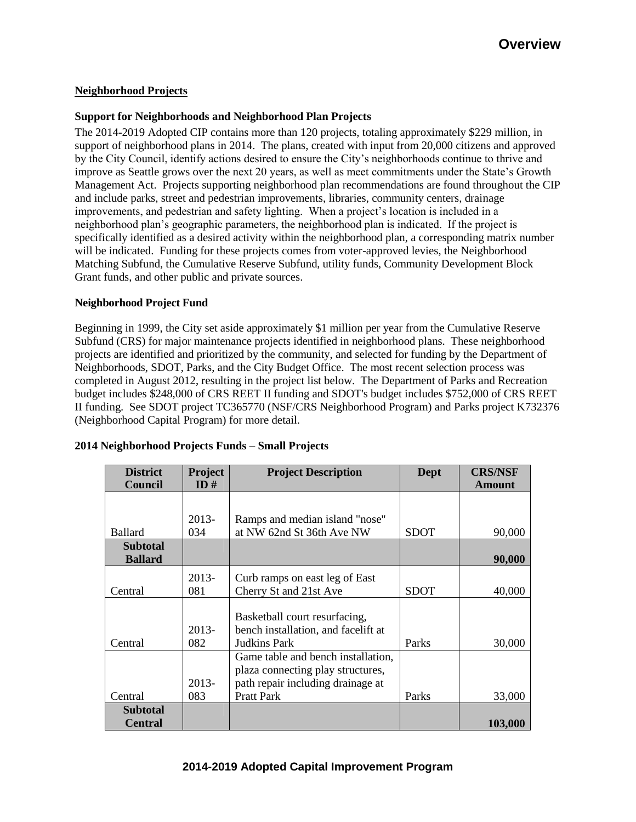### **Neighborhood Projects**

#### **Support for Neighborhoods and Neighborhood Plan Projects**

The 2014-2019 Adopted CIP contains more than 120 projects, totaling approximately \$229 million, in support of neighborhood plans in 2014. The plans, created with input from 20,000 citizens and approved by the City Council, identify actions desired to ensure the City's neighborhoods continue to thrive and improve as Seattle grows over the next 20 years, as well as meet commitments under the State's Growth Management Act. Projects supporting neighborhood plan recommendations are found throughout the CIP and include parks, street and pedestrian improvements, libraries, community centers, drainage improvements, and pedestrian and safety lighting. When a project's location is included in a neighborhood plan's geographic parameters, the neighborhood plan is indicated. If the project is specifically identified as a desired activity within the neighborhood plan, a corresponding matrix number will be indicated. Funding for these projects comes from voter-approved levies, the Neighborhood Matching Subfund, the Cumulative Reserve Subfund, utility funds, Community Development Block Grant funds, and other public and private sources.

#### **Neighborhood Project Fund**

Beginning in 1999, the City set aside approximately \$1 million per year from the Cumulative Reserve Subfund (CRS) for major maintenance projects identified in neighborhood plans. These neighborhood projects are identified and prioritized by the community, and selected for funding by the Department of Neighborhoods, SDOT, Parks, and the City Budget Office. The most recent selection process was completed in August 2012, resulting in the project list below. The Department of Parks and Recreation budget includes \$248,000 of CRS REET II funding and SDOT's budget includes \$752,000 of CRS REET II funding. See SDOT project TC365770 (NSF/CRS Neighborhood Program) and Parks project K732376 (Neighborhood Capital Program) for more detail.

| <b>District</b><br>Council | <b>Project</b><br>ID# | <b>Project Description</b>          | Dept        | <b>CRS/NSF</b><br><b>Amount</b> |
|----------------------------|-----------------------|-------------------------------------|-------------|---------------------------------|
|                            |                       |                                     |             |                                 |
|                            | $2013-$               | Ramps and median island "nose"      |             |                                 |
| <b>Ballard</b>             | 034                   | at NW 62nd St 36th Ave NW           | <b>SDOT</b> | 90,000                          |
| <b>Subtotal</b>            |                       |                                     |             |                                 |
| <b>Ballard</b>             |                       |                                     |             | 90,000                          |
|                            | $2013-$               | Curb ramps on east leg of East      |             |                                 |
| Central                    | 081                   | Cherry St and 21st Ave              | <b>SDOT</b> | 40,000                          |
|                            |                       |                                     |             |                                 |
|                            |                       | Basketball court resurfacing,       |             |                                 |
|                            | 2013-                 | bench installation, and facelift at |             |                                 |
| Central                    | 082                   | Judkins Park                        | Parks       | 30,000                          |
|                            |                       | Game table and bench installation,  |             |                                 |
|                            |                       | plaza connecting play structures,   |             |                                 |
|                            | 2013-                 | path repair including drainage at   |             |                                 |
| Central                    | 083                   | <b>Pratt Park</b>                   | Parks       | 33,000                          |
| <b>Subtotal</b>            |                       |                                     |             |                                 |
| <b>Central</b>             |                       |                                     |             | 103,000                         |

## **2014 Neighborhood Projects Funds – Small Projects**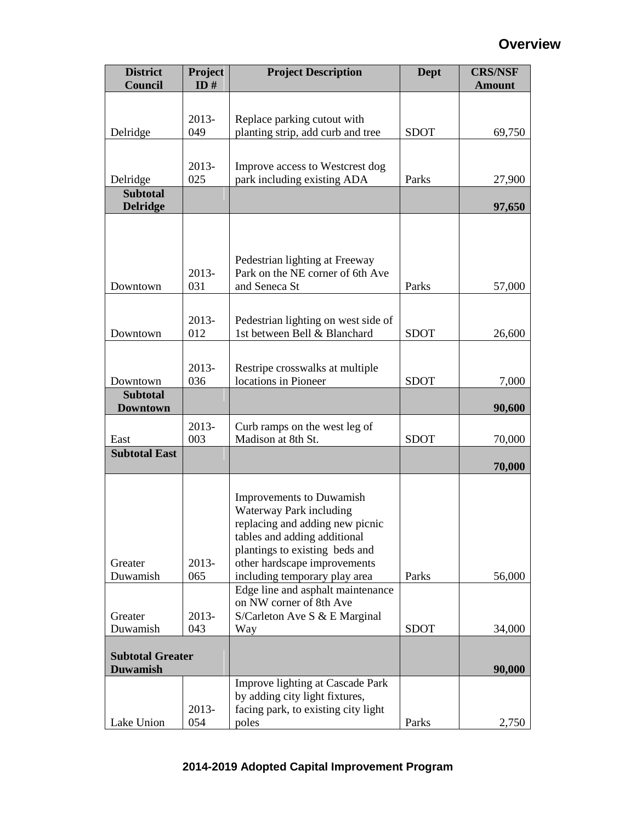# **Overview**

| <b>District</b><br>Council         | Project<br>ID# | <b>Project Description</b>                                         | Dept        | <b>CRS/NSF</b><br><b>Amount</b> |
|------------------------------------|----------------|--------------------------------------------------------------------|-------------|---------------------------------|
|                                    |                |                                                                    |             |                                 |
|                                    | 2013-          | Replace parking cutout with                                        |             |                                 |
| Delridge                           | 049            | planting strip, add curb and tree                                  | <b>SDOT</b> | 69,750                          |
|                                    |                |                                                                    |             |                                 |
|                                    | 2013-          | Improve access to Westcrest dog                                    |             |                                 |
| Delridge                           | 025            | park including existing ADA                                        | Parks       | 27,900                          |
| <b>Subtotal</b><br><b>Delridge</b> |                |                                                                    |             | 97,650                          |
|                                    |                |                                                                    |             |                                 |
|                                    |                |                                                                    |             |                                 |
|                                    |                |                                                                    |             |                                 |
|                                    | 2013-          | Pedestrian lighting at Freeway<br>Park on the NE corner of 6th Ave |             |                                 |
| Downtown                           | 031            | and Seneca St                                                      | Parks       | 57,000                          |
|                                    |                |                                                                    |             |                                 |
|                                    | 2013-          | Pedestrian lighting on west side of                                |             |                                 |
| Downtown                           | 012            | 1st between Bell & Blanchard                                       | <b>SDOT</b> | 26,600                          |
|                                    |                |                                                                    |             |                                 |
|                                    | 2013-          | Restripe crosswalks at multiple                                    |             |                                 |
| Downtown                           | 036            | locations in Pioneer                                               | <b>SDOT</b> | 7,000                           |
| <b>Subtotal</b><br><b>Downtown</b> |                |                                                                    |             | 90,600                          |
|                                    | 2013-          | Curb ramps on the west leg of                                      |             |                                 |
| East                               | 003            | Madison at 8th St.                                                 | <b>SDOT</b> | 70,000                          |
| <b>Subtotal East</b>               |                |                                                                    |             |                                 |
|                                    |                |                                                                    |             | 70,000                          |
|                                    |                |                                                                    |             |                                 |
|                                    |                | Improvements to Duwamish<br>Waterway Park including                |             |                                 |
|                                    |                | replacing and adding new picnic                                    |             |                                 |
|                                    |                | tables and adding additional                                       |             |                                 |
| Greater                            | 2013-          | plantings to existing beds and<br>other hardscape improvements     |             |                                 |
| Duwamish                           | 065            | including temporary play area                                      | Parks       | 56,000                          |
|                                    |                | Edge line and asphalt maintenance                                  |             |                                 |
|                                    |                | on NW corner of 8th Ave                                            |             |                                 |
| Greater<br>Duwamish                | 2013-<br>043   | S/Carleton Ave S & E Marginal<br>Way                               | <b>SDOT</b> | 34,000                          |
|                                    |                |                                                                    |             |                                 |
| <b>Subtotal Greater</b>            |                |                                                                    |             |                                 |
| <b>Duwamish</b>                    |                |                                                                    |             | 90,000                          |
|                                    |                | Improve lighting at Cascade Park<br>by adding city light fixtures, |             |                                 |
|                                    | 2013-          | facing park, to existing city light                                |             |                                 |
| Lake Union                         | 054            | poles                                                              | Parks       | 2,750                           |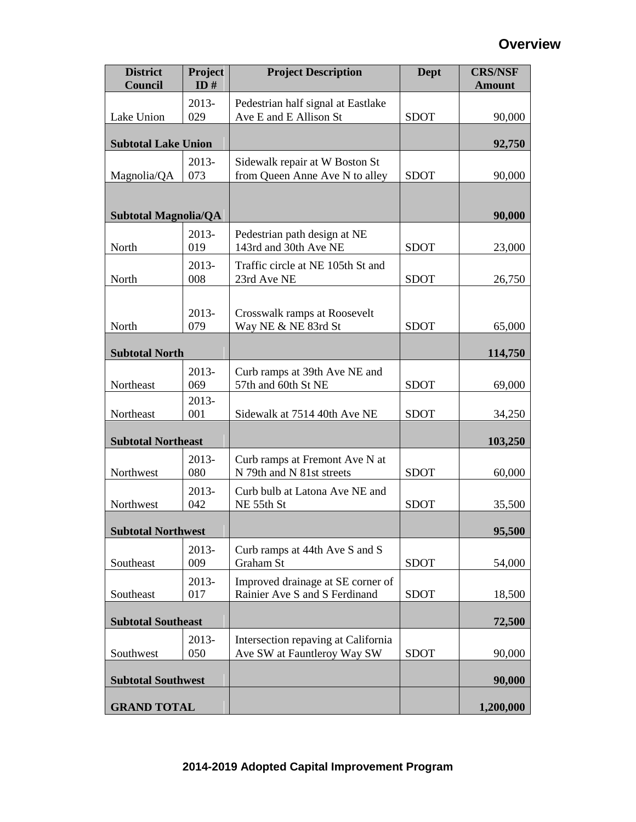# **Overview**

| <b>District</b><br>Council  | Project<br>ID# | <b>Project Description</b>                                         | <b>Dept</b> | <b>CRS/NSF</b><br><b>Amount</b> |
|-----------------------------|----------------|--------------------------------------------------------------------|-------------|---------------------------------|
| Lake Union                  | 2013-<br>029   | Pedestrian half signal at Eastlake<br>Ave E and E Allison St       | <b>SDOT</b> | 90,000                          |
| <b>Subtotal Lake Union</b>  |                |                                                                    |             | 92,750                          |
| Magnolia/QA                 | 2013-<br>073   | Sidewalk repair at W Boston St<br>from Queen Anne Ave N to alley   | <b>SDOT</b> | 90,000                          |
|                             |                |                                                                    |             |                                 |
| <b>Subtotal Magnolia/QA</b> |                |                                                                    |             | 90,000                          |
| North                       | 2013-<br>019   | Pedestrian path design at NE<br>143rd and 30th Ave NE              | <b>SDOT</b> | 23,000                          |
| North                       | $2013-$<br>008 | Traffic circle at NE 105th St and<br>23rd Ave NE                   | <b>SDOT</b> | 26,750                          |
|                             | 2013-          | Crosswalk ramps at Roosevelt                                       |             |                                 |
| North                       | 079            | Way NE & NE 83rd St                                                | <b>SDOT</b> | 65,000                          |
| <b>Subtotal North</b>       |                |                                                                    |             | 114,750                         |
| Northeast                   | 2013-<br>069   | Curb ramps at 39th Ave NE and<br>57th and 60th St NE               | <b>SDOT</b> | 69,000                          |
| Northeast                   | 2013-<br>001   | Sidewalk at 7514 40th Ave NE                                       | <b>SDOT</b> | 34,250                          |
| <b>Subtotal Northeast</b>   |                |                                                                    |             | 103,250                         |
| Northwest                   | 2013-<br>080   | Curb ramps at Fremont Ave N at<br>N 79th and N 81st streets        | <b>SDOT</b> | 60,000                          |
| Northwest                   | 2013-<br>042   | Curb bulb at Latona Ave NE and<br>NE 55th St                       | <b>SDOT</b> | 35,500                          |
| <b>Subtotal Northwest</b>   |                |                                                                    |             | 95,500                          |
| Southeast                   | 2013-<br>009   | Curb ramps at 44th Ave S and S<br>Graham St                        | <b>SDOT</b> | 54,000                          |
| Southeast                   | 2013-<br>017   | Improved drainage at SE corner of<br>Rainier Ave S and S Ferdinand | <b>SDOT</b> | 18,500                          |
| <b>Subtotal Southeast</b>   |                |                                                                    |             | 72,500                          |
| Southwest                   | 2013-<br>050   | Intersection repaving at California<br>Ave SW at Fauntleroy Way SW | <b>SDOT</b> | 90,000                          |
| <b>Subtotal Southwest</b>   |                |                                                                    |             | 90,000                          |
| <b>GRAND TOTAL</b>          |                |                                                                    |             | 1,200,000                       |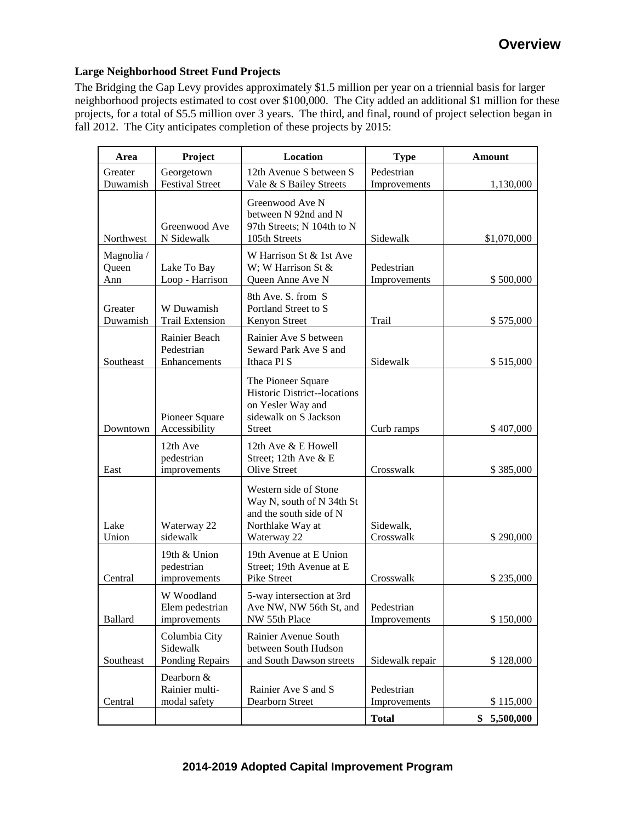### **Large Neighborhood Street Fund Projects**

The Bridging the Gap Levy provides approximately \$1.5 million per year on a triennial basis for larger neighborhood projects estimated to cost over \$100,000. The City added an additional \$1 million for these projects, for a total of \$5.5 million over 3 years. The third, and final, round of project selection began in fall 2012. The City anticipates completion of these projects by 2015:

| Area                       | Project                                       | Location                                                                                                                | <b>Type</b>                | <b>Amount</b>   |
|----------------------------|-----------------------------------------------|-------------------------------------------------------------------------------------------------------------------------|----------------------------|-----------------|
| Greater<br>Duwamish        | Georgetown<br><b>Festival Street</b>          | 12th Avenue S between S<br>Vale & S Bailey Streets                                                                      | Pedestrian<br>Improvements | 1,130,000       |
| Northwest                  | Greenwood Ave<br>N Sidewalk                   | Greenwood Ave N<br>between N 92nd and N<br>97th Streets; N 104th to N<br>105th Streets                                  | Sidewalk                   | \$1,070,000     |
| Magnolia /<br>Queen<br>Ann | Lake To Bay<br>Loop - Harrison                | W Harrison St & 1st Ave<br>W; W Harrison St &<br>Queen Anne Ave N                                                       | Pedestrian<br>Improvements | \$500,000       |
| Greater<br>Duwamish        | W Duwamish<br><b>Trail Extension</b>          | 8th Ave. S. from S<br>Portland Street to S<br>Kenyon Street                                                             | Trail                      | \$575,000       |
| Southeast                  | Rainier Beach<br>Pedestrian<br>Enhancements   | Rainier Ave S between<br>Seward Park Ave S and<br>Ithaca Pl S                                                           | Sidewalk                   | \$515,000       |
| Downtown                   | Pioneer Square<br>Accessibility               | The Pioneer Square<br><b>Historic District-locations</b><br>on Yesler Way and<br>sidewalk on S Jackson<br><b>Street</b> | Curb ramps                 | \$407,000       |
| East                       | 12th Ave<br>pedestrian<br>improvements        | 12th Ave & E Howell<br>Street; 12th Ave & E<br><b>Olive Street</b>                                                      | Crosswalk                  | \$385,000       |
| Lake<br>Union              | Waterway 22<br>sidewalk                       | Western side of Stone<br>Way N, south of N 34th St<br>and the south side of N<br>Northlake Way at<br>Waterway 22        | Sidewalk,<br>Crosswalk     | \$290,000       |
| Central                    | 19th & Union<br>pedestrian<br>improvements    | 19th Avenue at E Union<br>Street; 19th Avenue at E<br>Pike Street                                                       | Crosswalk                  | \$235,000       |
| <b>Ballard</b>             | W Woodland<br>Elem pedestrian<br>improvements | 5-way intersection at 3rd<br>Ave NW, NW 56th St, and<br>NW 55th Place                                                   | Pedestrian<br>Improvements | \$150,000       |
| Southeast                  | Columbia City<br>Sidewalk<br>Ponding Repairs  | Rainier Avenue South<br>between South Hudson<br>and South Dawson streets                                                | Sidewalk repair            | \$128,000       |
| Central                    | Dearborn &<br>Rainier multi-<br>modal safety  | Rainier Ave S and S<br>Dearborn Street                                                                                  | Pedestrian<br>Improvements | \$115,000       |
|                            |                                               |                                                                                                                         | <b>Total</b>               | \$<br>5,500,000 |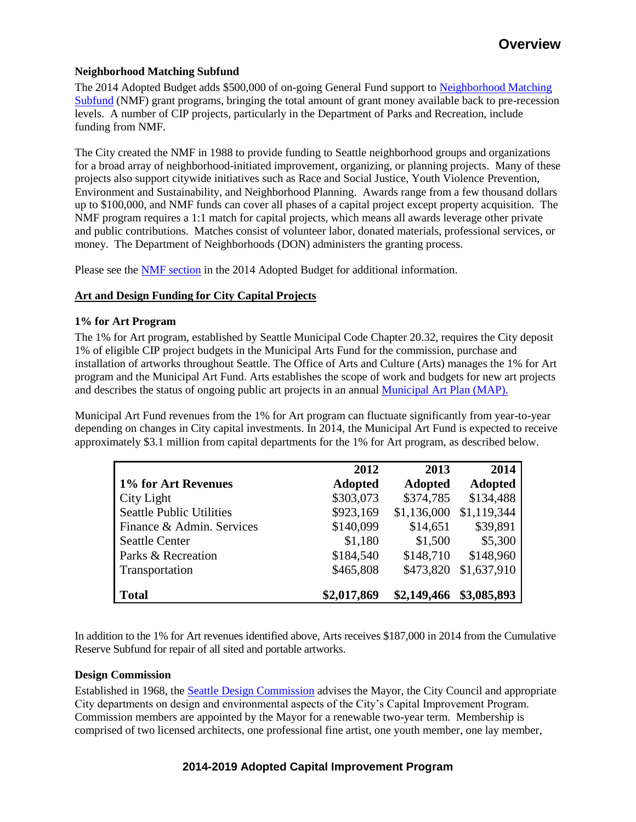#### **Neighborhood Matching Subfund**

The 2014 Adopted Budget adds \$500,000 of on-going General Fund support to Neighborhood Matching [Subfund](http://www.seattle.gov/financedepartment/14proposedbudget/NMF.pdf) (NMF) grant programs, bringing the total amount of grant money available back to pre-recession levels. A number of CIP projects, particularly in the Department of Parks and Recreation, include funding from NMF.

The City created the NMF in 1988 to provide funding to Seattle neighborhood groups and organizations for a broad array of neighborhood-initiated improvement, organizing, or planning projects. Many of these projects also support citywide initiatives such as Race and Social Justice, Youth Violence Prevention, Environment and Sustainability, and Neighborhood Planning. Awards range from a few thousand dollars up to \$100,000, and NMF funds can cover all phases of a capital project except property acquisition. The NMF program requires a 1:1 match for capital projects, which means all awards leverage other private and public contributions. Matches consist of volunteer labor, donated materials, professional services, or money. The Department of Neighborhoods (DON) administers the granting process.

Please see the [NMF section](http://www.seattle.gov/financedepartment/14proposedbudget/NMF.pdf) in the 2014 Adopted Budget for additional information.

#### **Art and Design Funding for City Capital Projects**

#### **1% for Art Program**

The 1% for Art program, established by Seattle Municipal Code Chapter 20.32, requires the City deposit 1% of eligible CIP project budgets in the Municipal Arts Fund for the commission, purchase and installation of artworks throughout Seattle. The Office of Arts and Culture (Arts) manages the 1% for Art program and the Municipal Art Fund. Arts establishes the scope of work and budgets for new art projects and describes the status of ongoing public art projects in an annua[l Municipal Art Plan \(MAP\).](http://www.seattle.gov/arts/publicart/municipal_art_plan.asp) 

Municipal Art Fund revenues from the 1% for Art program can fluctuate significantly from year-to-year depending on changes in City capital investments. In 2014, the Municipal Art Fund is expected to receive approximately \$3.1 million from capital departments for the 1% for Art program, as described below.

|                                 | 2012           | 2013           | 2014           |
|---------------------------------|----------------|----------------|----------------|
| 1% for Art Revenues             | <b>Adopted</b> | <b>Adopted</b> | <b>Adopted</b> |
| City Light                      | \$303,073      | \$374,785      | \$134,488      |
| <b>Seattle Public Utilities</b> | \$923,169      | \$1,136,000    | \$1,119,344    |
| Finance & Admin. Services       | \$140,099      | \$14,651       | \$39,891       |
| <b>Seattle Center</b>           | \$1,180        | \$1,500        | \$5,300        |
| Parks & Recreation              | \$184,540      | \$148,710      | \$148,960      |
| Transportation                  | \$465,808      | \$473,820      | \$1,637,910    |
|                                 |                |                |                |
| <b>Total</b>                    | \$2,017,869    | \$2,149,466    | \$3,085,893    |

In addition to the 1% for Art revenues identified above, Arts receives \$187,000 in 2014 from the Cumulative Reserve Subfund for repair of all sited and portable artworks.

#### **Design Commission**

Established in 1968, the [Seattle Design Commission](http://www.seattle.gov/dpd/planning/design_commission/overview/) advises the Mayor, the City Council and appropriate City departments on design and environmental aspects of the City's Capital Improvement Program. Commission members are appointed by the Mayor for a renewable two-year term. Membership is comprised of two licensed architects, one professional fine artist, one youth member, one lay member,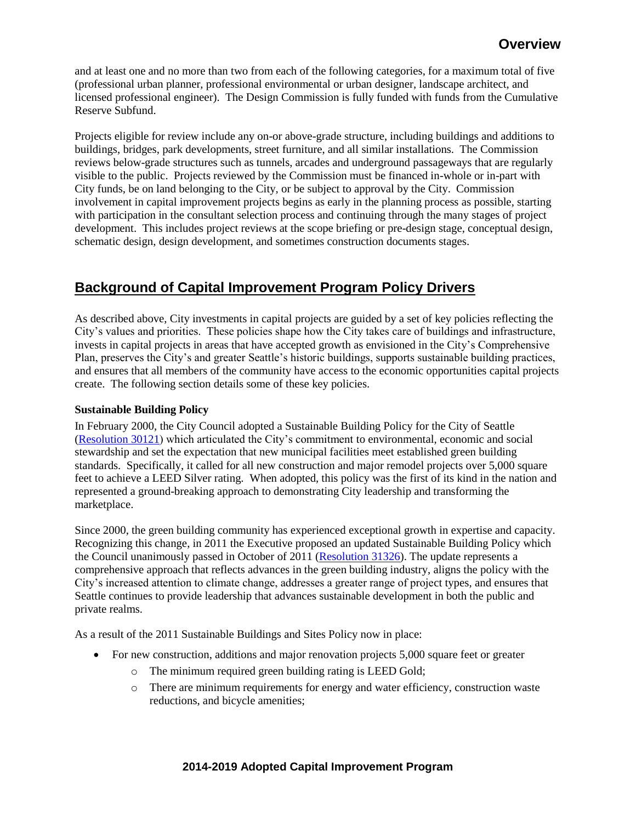and at least one and no more than two from each of the following categories, for a maximum total of five (professional urban planner, professional environmental or urban designer, landscape architect, and licensed professional engineer). The Design Commission is fully funded with funds from the Cumulative Reserve Subfund.

Projects eligible for review include any on-or above-grade structure, including buildings and additions to buildings, bridges, park developments, street furniture, and all similar installations. The Commission reviews below-grade structures such as tunnels, arcades and underground passageways that are regularly visible to the public. Projects reviewed by the Commission must be financed in-whole or in-part with City funds, be on land belonging to the City, or be subject to approval by the City. Commission involvement in capital improvement projects begins as early in the planning process as possible, starting with participation in the consultant selection process and continuing through the many stages of project development. This includes project reviews at the scope briefing or pre-design stage, conceptual design, schematic design, design development, and sometimes construction documents stages.

# **Background of Capital Improvement Program Policy Drivers**

As described above, City investments in capital projects are guided by a set of key policies reflecting the City's values and priorities. These policies shape how the City takes care of buildings and infrastructure, invests in capital projects in areas that have accepted growth as envisioned in the City's Comprehensive Plan, preserves the City's and greater Seattle's historic buildings, supports sustainable building practices, and ensures that all members of the community have access to the economic opportunities capital projects create. The following section details some of these key policies.

## **Sustainable Building Policy**

In February 2000, the City Council adopted a Sustainable Building Policy for the City of Seattle [\(Resolution 30121\)](http://clerk.ci.seattle.wa.us/~scripts/nph-brs.exe?s1=&s3=30121&s2=&s4=&Sect4=AND&l=20&Sect2=THESON&Sect3=PLURON&Sect5=RESNY&Sect6=HITOFF&d=RESF&p=1&u=%2F%7Epublic%2Fresny.htm&r=1&f=G) which articulated the City's commitment to environmental, economic and social stewardship and set the expectation that new municipal facilities meet established green building standards. Specifically, it called for all new construction and major remodel projects over 5,000 square feet to achieve a LEED Silver rating. When adopted, this policy was the first of its kind in the nation and represented a ground-breaking approach to demonstrating City leadership and transforming the marketplace.

Since 2000, the green building community has experienced exceptional growth in expertise and capacity. Recognizing this change, in 2011 the Executive proposed an updated Sustainable Building Policy which the Council unanimously passed in October of 2011 [\(Resolution 31326\)](http://clerk.ci.seattle.wa.us/~archives/Resolutions/Resn_31326.pdf). The update represents a comprehensive approach that reflects advances in the green building industry, aligns the policy with the City's increased attention to climate change, addresses a greater range of project types, and ensures that Seattle continues to provide leadership that advances sustainable development in both the public and private realms.

As a result of the 2011 Sustainable Buildings and Sites Policy now in place:

- For new construction, additions and major renovation projects 5,000 square feet or greater
	- o The minimum required green building rating is LEED Gold;
	- o There are minimum requirements for energy and water efficiency, construction waste reductions, and bicycle amenities;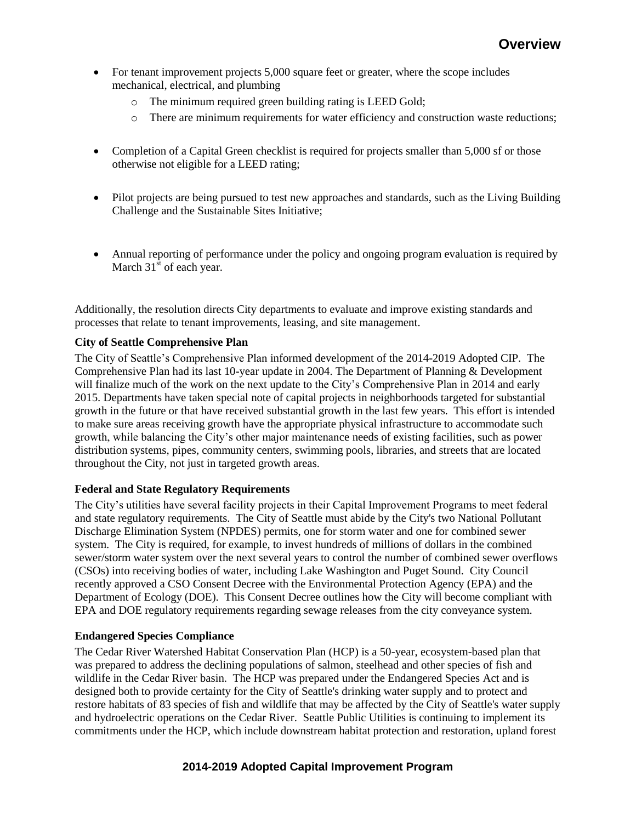- For tenant improvement projects 5,000 square feet or greater, where the scope includes mechanical, electrical, and plumbing
	- o The minimum required green building rating is LEED Gold;
	- o There are minimum requirements for water efficiency and construction waste reductions;
- Completion of a Capital Green checklist is required for projects smaller than 5,000 sf or those otherwise not eligible for a LEED rating;
- Pilot projects are being pursued to test new approaches and standards, such as the Living Building Challenge and the Sustainable Sites Initiative;
- Annual reporting of performance under the policy and ongoing program evaluation is required by March  $31<sup>st</sup>$  of each year.

Additionally, the resolution directs City departments to evaluate and improve existing standards and processes that relate to tenant improvements, leasing, and site management.

## **City of Seattle Comprehensive Plan**

The City of Seattle's Comprehensive Plan informed development of the 2014-2019 Adopted CIP. The Comprehensive Plan had its last 10-year update in 2004. The Department of Planning & Development will finalize much of the work on the next update to the City's Comprehensive Plan in 2014 and early 2015. Departments have taken special note of capital projects in neighborhoods targeted for substantial growth in the future or that have received substantial growth in the last few years. This effort is intended to make sure areas receiving growth have the appropriate physical infrastructure to accommodate such growth, while balancing the City's other major maintenance needs of existing facilities, such as power distribution systems, pipes, community centers, swimming pools, libraries, and streets that are located throughout the City, not just in targeted growth areas.

## **Federal and State Regulatory Requirements**

The City's utilities have several facility projects in their Capital Improvement Programs to meet federal and state regulatory requirements. The City of Seattle must abide by the City's two National Pollutant Discharge Elimination System (NPDES) permits, one for storm water and one for combined sewer system. The City is required, for example, to invest hundreds of millions of dollars in the combined sewer/storm water system over the next several years to control the number of combined sewer overflows (CSOs) into receiving bodies of water, including Lake Washington and Puget Sound. City Council recently approved a CSO Consent Decree with the Environmental Protection Agency (EPA) and the Department of Ecology (DOE). This Consent Decree outlines how the City will become compliant with EPA and DOE regulatory requirements regarding sewage releases from the city conveyance system.

#### **Endangered Species Compliance**

The Cedar River Watershed Habitat Conservation Plan (HCP) is a 50-year, ecosystem-based plan that was prepared to address the declining populations of salmon, steelhead and other species of fish and wildlife in the Cedar River basin. The HCP was prepared under the Endangered Species Act and is designed both to provide certainty for the City of Seattle's drinking water supply and to protect and restore habitats of 83 species of fish and wildlife that may be affected by the City of Seattle's water supply and hydroelectric operations on the Cedar River. Seattle Public Utilities is continuing to implement its commitments under the HCP, which include downstream habitat protection and restoration, upland forest